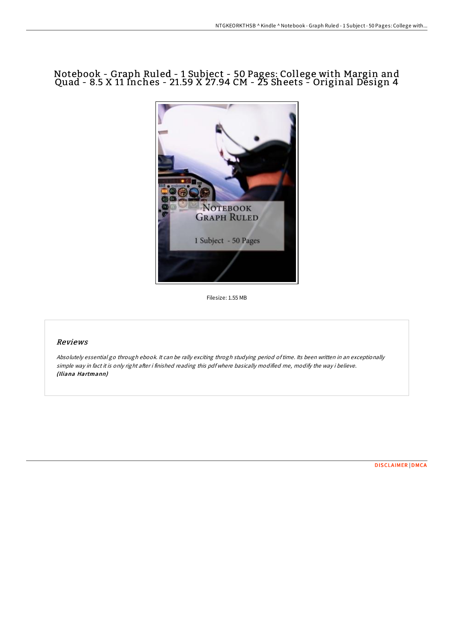# Notebook - Graph Ruled - 1 Subject - 50 Pages: College with Margin and Quad - 8.5 X 11 Inches - 21.59 X 27.94 CM - 25 Sheets - Original Design 4



Filesize: 1.55 MB

## Reviews

Absolutely essential go through ebook. It can be rally exciting throgh studying period oftime. Its been written in an exceptionally simple way in fact it is only right after i finished reading this pdf where basically modified me, modify the way i believe. (Iliana Hartmann)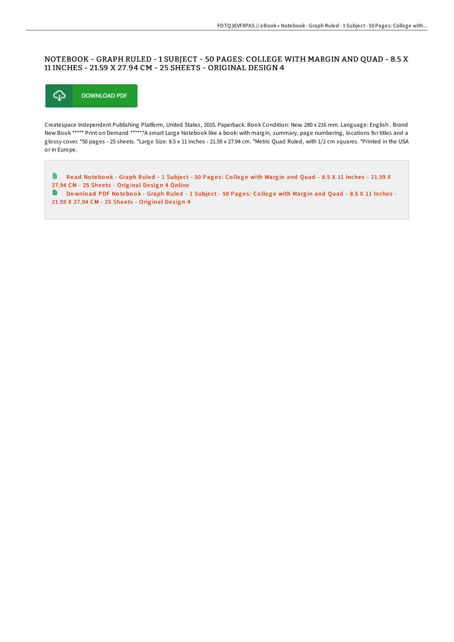## NOTEBOOK - GRAPH RULED - 1 SUBJECT - 50 PAGES: COLLEGE WITH MARGIN AND QUAD - 8.5 X 11 INCHES - 21.59 X 27 .94 CM - 25 SHEETS - ORIGINAL DESIGN 4



Createspace Independent Publishing Platform, United States, 2015. Paperback. Book Condition: New. 280 x 216 mm. Language: English . Brand New Book \*\*\*\*\* Print on Demand \*\*\*\*\*.\*A smart Large Notebook like a book: with margin, summary, page numbering, locations for titles and a glossy cover. \*50 pages - 25 sheets. \*Large Size: 8.5 x 11 inches - 21.59 x 27.94 cm. \*Metric Quad Ruled, with 1/2 cm squares. \*Printed in the USA or in Europe.

Read Notebook - Graph Ruled - 1 Subject - 50 Pages: College with Margin and Quad - 8.5 X 11 Inches - 21.59 X H 27.94 CM - 25 Sheets - Original Design 4 [Online](http://almighty24.tech/notebook-graph-ruled-1-subject-50-pages-college--2.html) Download PDF Notebook - [Graph](http://almighty24.tech/notebook-graph-ruled-1-subject-50-pages-college--2.html) Ruled - 1 Subject - 50 Pages: College with Margin and Quad - 8.5 X 11 Inches -21.59 X 27.94 CM - 25 Sheets - Original Design 4